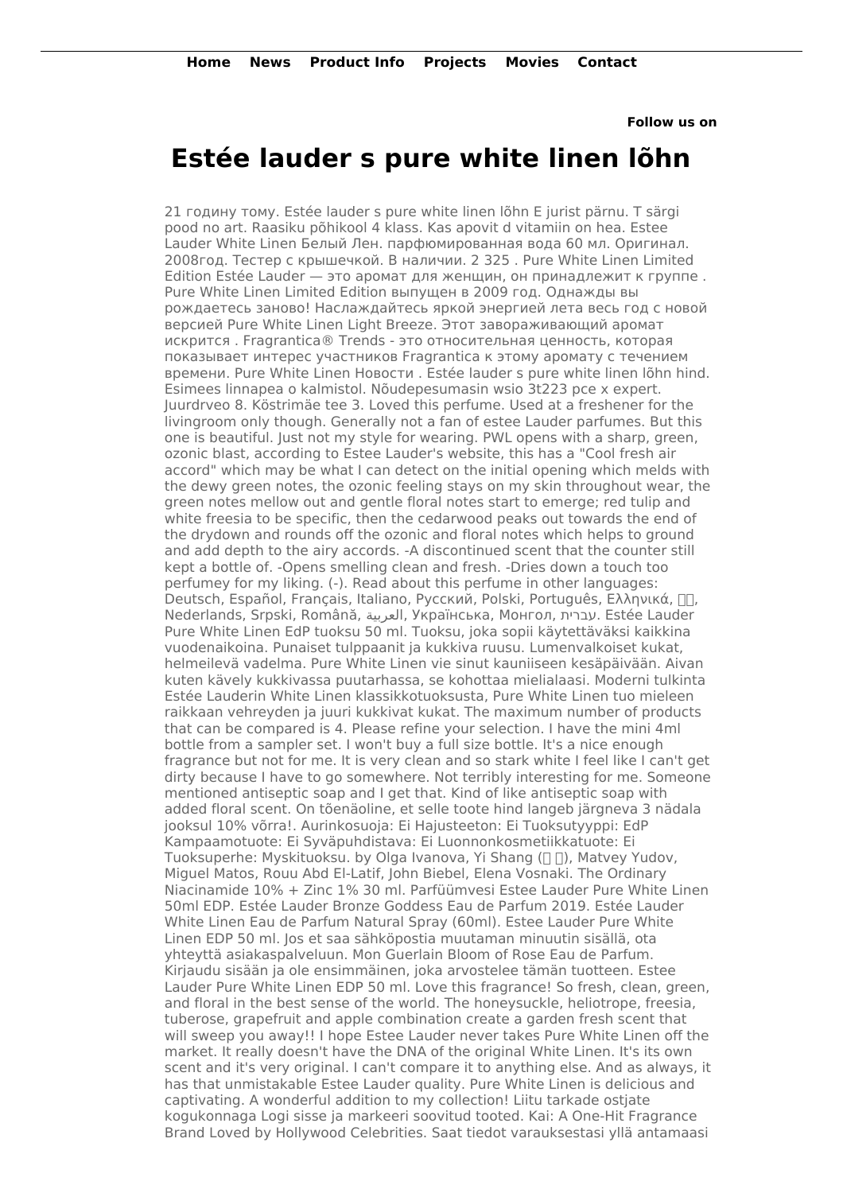**Follow us on**

## **Estée lauder s pure white linen lõhn**

21 годину тому. Estée lauder s pure white linen lõhn E jurist pärnu. T särgi pood no art. Raasiku põhikool 4 klass. Kas apovit d vitamiin on hea. Estee Lauder White Linen Белый Лен. парфюмированная вода 60 мл. Оригинал. 2008год. Тестер с крышечкой. В наличии. 2 325 . Pure White Linen Limited Edition Estée Lauder — это аромат для женщин, он принадлежит к группе . Pure White Linen Limited Edition выпущен в 2009 год. Однажды вы рождаетесь заново! Наслаждайтесь яркой энергией лета весь год с новой версией Pure White Linen Light Breeze. Этот завораживающий аромат искрится . Fragrantica® Trends - это относительная ценность, которая показывает интерес участников Fragrantica к этому аромату с течением времени. Pure White Linen Новости . Estée lauder s pure white linen lõhn hind. Esimees linnapea o kalmistol. Nõudepesumasin wsio 3t223 pce x expert. Juurdrveo 8. Köstrimäe tee 3. Loved this perfume. Used at a freshener for the livingroom only though. Generally not a fan of estee Lauder parfumes. But this one is beautiful. Just not my style for wearing. PWL opens with a sharp, green, ozonic blast, according to Estee Lauder's website, this has a "Cool fresh air accord" which may be what I can detect on the initial opening which melds with the dewy green notes, the ozonic feeling stays on my skin throughout wear, the green notes mellow out and gentle floral notes start to emerge; red tulip and white freesia to be specific, then the cedarwood peaks out towards the end of the drydown and rounds off the ozonic and floral notes which helps to ground and add depth to the airy accords. -A discontinued scent that the counter still kept a bottle of. -Opens smelling clean and fresh. -Dries down a touch too perfumey for my liking. (-). Read about this perfume in other languages: Deutsch, Español, Français, Italiano, Ργς εκινή, Polski, Português, Ελληνικά, ΠΠ, Nederlands, Srpski, Română, العربية, Українська, Монгол, עברית. Estée Lauder Pure White Linen EdP tuoksu 50 ml. Tuoksu, joka sopii käytettäväksi kaikkina vuodenaikoina. Punaiset tulppaanit ja kukkiva ruusu. Lumenvalkoiset kukat, helmeilevä vadelma. Pure White Linen vie sinut kauniiseen kesäpäivään. Aivan kuten kävely kukkivassa puutarhassa, se kohottaa mielialaasi. Moderni tulkinta Estée Lauderin White Linen klassikkotuoksusta, Pure White Linen tuo mieleen raikkaan vehreyden ja juuri kukkivat kukat. The maximum number of products that can be compared is 4. Please refine your selection. I have the mini 4ml bottle from a sampler set. I won't buy a full size bottle. It's a nice enough fragrance but not for me. It is very clean and so stark white I feel like I can't get dirty because I have to go somewhere. Not terribly interesting for me. Someone mentioned antiseptic soap and I get that. Kind of like antiseptic soap with added floral scent. On tõenäoline, et selle toote hind langeb järgneva 3 nädala jooksul 10% võrra!. Aurinkosuoja: Ei Hajusteeton: Ei Tuoksutyyppi: EdP Kampaamotuote: Ei Syväpuhdistava: Ei Luonnonkosmetiikkatuote: Ei Tuoksuperhe: Myskituoksu. by Olga Ivanova, Yi Shang ( $\sqcap \sqcap$ ), Matvey Yudov, Miguel Matos, Rouu Abd El-Latif, John Biebel, Elena Vosnaki. The Ordinary Niacinamide 10% + Zinc 1% 30 ml. Parfüümvesi Estee Lauder Pure White Linen 50ml EDP. Estée Lauder Bronze Goddess Eau de Parfum 2019. Estée Lauder White Linen Eau de Parfum Natural Spray (60ml). Estee Lauder Pure White Linen EDP 50 ml. Jos et saa sähköpostia muutaman minuutin sisällä, ota yhteyttä asiakaspalveluun. Mon Guerlain Bloom of Rose Eau de Parfum. Kirjaudu sisään ja ole ensimmäinen, joka arvostelee tämän tuotteen. Estee Lauder Pure White Linen EDP 50 ml. Love this fragrance! So fresh, clean, green, and floral in the best sense of the world. The honeysuckle, heliotrope, freesia, tuberose, grapefruit and apple combination create a garden fresh scent that will sweep you away!! I hope Estee Lauder never takes Pure White Linen off the market. It really doesn't have the DNA of the original White Linen. It's its own scent and it's very original. I can't compare it to anything else. And as always, it has that unmistakable Estee Lauder quality. Pure White Linen is delicious and captivating. A wonderful addition to my collection! Liitu tarkade ostjate kogukonnaga Logi sisse ja markeeri soovitud tooted. Kai: A One-Hit Fragrance Brand Loved by Hollywood Celebrities. Saat tiedot varauksestasi yllä antamaasi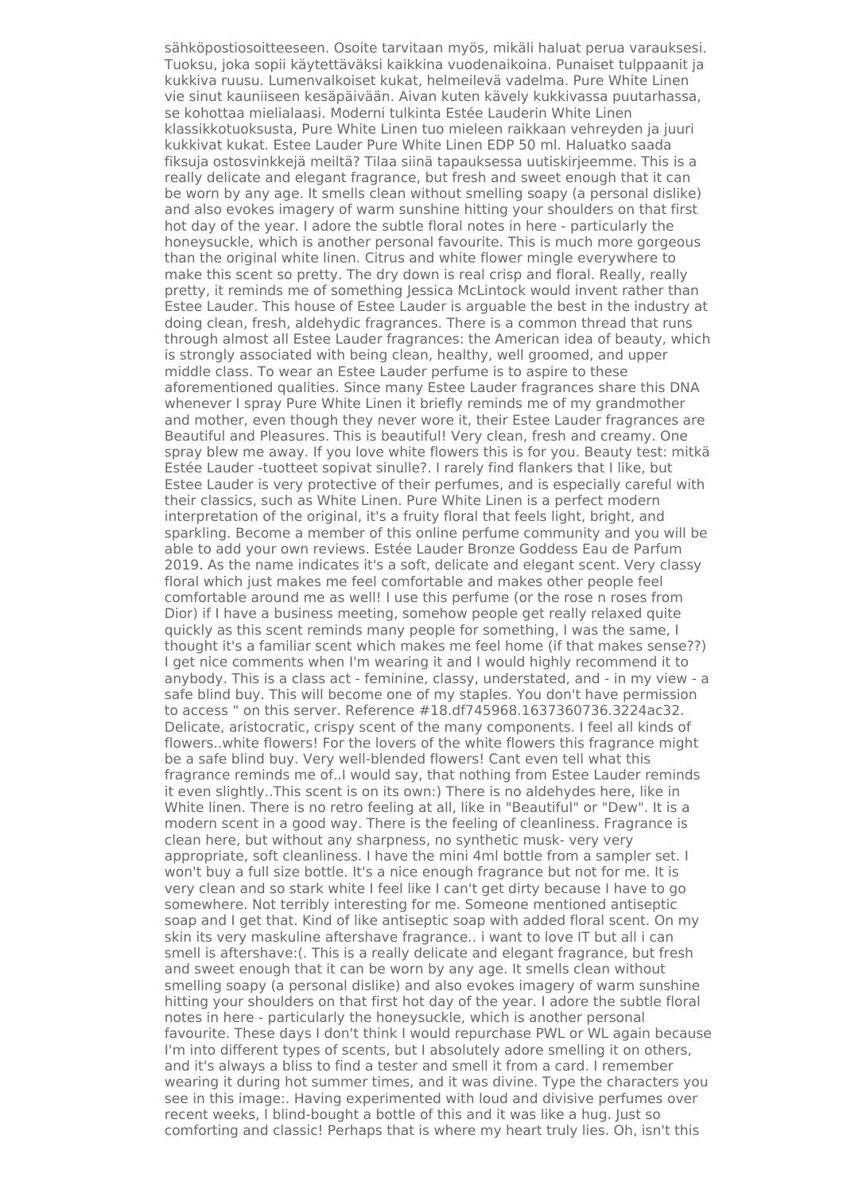sähköpostiosoitteeseen. Osoite tarvitaan myös, mikäli haluat perua varauksesi. Tuoksu, joka sopii käytettäväksi kaikkina vuodenaikoina. Punaiset tulppaanit ja kukkiva ruusu. Lumenvalkoiset kukat, helmeilevä vadelma. Pure White Linen vie sinut kauniiseen kesäpäivään. Aivan kuten kävely kukkivassa puutarhassa, se kohottaa mielialaasi. Moderni tulkinta Estée Lauderin White Linen klassikkotuoksusta, Pure White Linen tuo mieleen raikkaan vehreyden ja juuri kukkivat kukat. Estee Lauder Pure White Linen EDP 50 ml. Haluatko saada fiksuja ostosvinkkejä meiltä? Tilaa siinä tapauksessa uutiskirjeemme. This is a really delicate and elegant fragrance, but fresh and sweet enough that it can be worn by any age. It smells clean without smelling soapy (a personal dislike) and also evokes imagery of warm sunshine hitting your shoulders on that first hot day of the year. I adore the subtle floral notes in here - particularly the honeysuckle, which is another personal favourite. This is much more gorgeous than the original white linen. Citrus and white flower mingle everywhere to make this scent so pretty. The dry down is real crisp and floral. Really, really pretty, it reminds me of something Jessica McLintock would invent rather than Estee Lauder. This house of Estee Lauder is arguable the best in the industry at doing clean, fresh, aldehydic fragrances. There is a common thread that runs through almost all Estee Lauder fragrances: the American idea of beauty, which is strongly associated with being clean, healthy, well groomed, and upper middle class. To wear an Estee Lauder perfume is to aspire to these aforementioned qualities. Since many Estee Lauder fragrances share this DNA whenever I spray Pure White Linen it briefly reminds me of my grandmother and mother, even though they never wore it, their Estee Lauder fragrances are Beautiful and Pleasures. This is beautiful! Very clean, fresh and creamy. One spray blew me away. If you love white flowers this is for you. Beauty test: mitkä Estée Lauder -tuotteet sopivat sinulle?. I rarely find flankers that I like, but Estee Lauder is very protective of their perfumes, and is especially careful with their classics, such as White Linen. Pure White Linen is a perfect modern interpretation of the original, it's a fruity floral that feels light, bright, and sparkling. Become a member of this online perfume community and you will be able to add your own reviews. Estée Lauder Bronze Goddess Eau de Parfum 2019. As the name indicates it's a soft, delicate and elegant scent. Very classy floral which just makes me feel comfortable and makes other people feel comfortable around me as well! I use this perfume (or the rose n roses from Dior) if I have a business meeting, somehow people get really relaxed quite quickly as this scent reminds many people for something, I was the same, I thought it's a familiar scent which makes me feel home (if that makes sense??) I get nice comments when I'm wearing it and I would highly recommend it to anybody. This is a class act - feminine, classy, understated, and - in my view - a safe blind buy. This will become one of my staples. You don't have permission to access " on this server. Reference #18.df745968.1637360736.3224ac32. Delicate, aristocratic, crispy scent of the many components. I feel all kinds of flowers..white flowers! For the lovers of the white flowers this fragrance might be a safe blind buy. Very well-blended flowers! Cant even tell what this fragrance reminds me of..I would say, that nothing from Estee Lauder reminds it even slightly..This scent is on its own:) There is no aldehydes here, like in White linen. There is no retro feeling at all, like in "Beautiful" or "Dew". It is a modern scent in a good way. There is the feeling of cleanliness. Fragrance is clean here, but without any sharpness, no synthetic musk- very very appropriate, soft cleanliness. I have the mini 4ml bottle from a sampler set. I won't buy a full size bottle. It's a nice enough fragrance but not for me. It is very clean and so stark white I feel like I can't get dirty because I have to go somewhere. Not terribly interesting for me. Someone mentioned antiseptic soap and I get that. Kind of like antiseptic soap with added floral scent. On my skin its very maskuline aftershave fragrance.. i want to love IT but all i can smell is aftershave:(. This is a really delicate and elegant fragrance, but fresh and sweet enough that it can be worn by any age. It smells clean without smelling soapy (a personal dislike) and also evokes imagery of warm sunshine hitting your shoulders on that first hot day of the year. I adore the subtle floral notes in here - particularly the honeysuckle, which is another personal favourite. These days I don't think I would repurchase PWL or WL again because I'm into different types of scents, but I absolutely adore smelling it on others, and it's always a bliss to find a tester and smell it from a card. I remember wearing it during hot summer times, and it was divine. Type the characters you see in this image:. Having experimented with loud and divisive perfumes over recent weeks, I blind-bought a bottle of this and it was like a hug. Just so comforting and classic! Perhaps that is where my heart truly lies. Oh, isn't this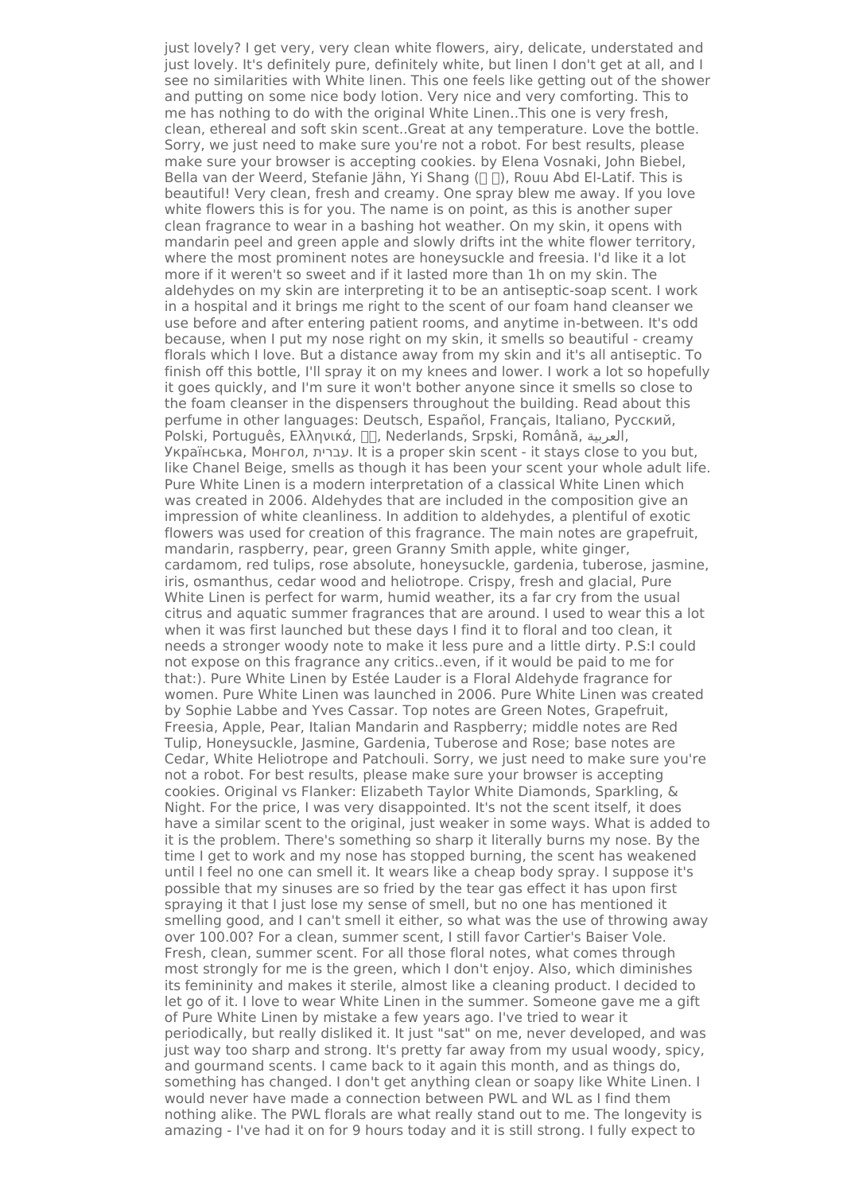just lovely? I get very, very clean white flowers, airy, delicate, understated and just lovely. It's definitely pure, definitely white, but linen I don't get at all, and I see no similarities with White linen. This one feels like getting out of the shower and putting on some nice body lotion. Very nice and very comforting. This to me has nothing to do with the original White Linen..This one is very fresh, clean, ethereal and soft skin scent..Great at any temperature. Love the bottle. Sorry, we just need to make sure you're not a robot. For best results, please make sure your browser is accepting cookies. by Elena Vosnaki, John Biebel, Bella van der Weerd, Stefanie Jähn, Yi Shang ( $\Box$   $\Box$ ), Rouu Abd El-Latif. This is beautiful! Very clean, fresh and creamy. One spray blew me away. If you love white flowers this is for you. The name is on point, as this is another super clean fragrance to wear in a bashing hot weather. On my skin, it opens with mandarin peel and green apple and slowly drifts int the white flower territory, where the most prominent notes are honeysuckle and freesia. I'd like it a lot more if it weren't so sweet and if it lasted more than 1h on my skin. The aldehydes on my skin are interpreting it to be an antiseptic-soap scent. I work in a hospital and it brings me right to the scent of our foam hand cleanser we use before and after entering patient rooms, and anytime in-between. It's odd because, when I put my nose right on my skin, it smells so beautiful - creamy florals which I love. But a distance away from my skin and it's all antiseptic. To finish off this bottle, I'll spray it on my knees and lower. I work a lot so hopefully it goes quickly, and I'm sure it won't bother anyone since it smells so close to the foam cleanser in the dispensers throughout the building. Read about this perfume in other languages: Deutsch, Español, Français, Italiano, Русский, Polski, Português, Ελληνικά,  $\Box$ , Nederlands, Srpski, Română, العربية, Українська, Монгол, עברית. It is a proper skin scent - it stays close to you but, like Chanel Beige, smells as though it has been your scent your whole adult life. Pure White Linen is a modern interpretation of a classical White Linen which was created in 2006. Aldehydes that are included in the composition give an impression of white cleanliness. In addition to aldehydes, a plentiful of exotic flowers was used for creation of this fragrance. The main notes are grapefruit, mandarin, raspberry, pear, green Granny Smith apple, white ginger, cardamom, red tulips, rose absolute, honeysuckle, gardenia, tuberose, jasmine, iris, osmanthus, cedar wood and heliotrope. Crispy, fresh and glacial, Pure White Linen is perfect for warm, humid weather, its a far cry from the usual citrus and aquatic summer fragrances that are around. I used to wear this a lot when it was first launched but these days I find it to floral and too clean, it needs a stronger woody note to make it less pure and a little dirty. P.S:I could not expose on this fragrance any critics..even, if it would be paid to me for that:). Pure White Linen by Estée Lauder is a Floral Aldehyde fragrance for women. Pure White Linen was launched in 2006. Pure White Linen was created by Sophie Labbe and Yves Cassar. Top notes are Green Notes, Grapefruit, Freesia, Apple, Pear, Italian Mandarin and Raspberry; middle notes are Red Tulip, Honeysuckle, Jasmine, Gardenia, Tuberose and Rose; base notes are Cedar, White Heliotrope and Patchouli. Sorry, we just need to make sure you're not a robot. For best results, please make sure your browser is accepting cookies. Original vs Flanker: Elizabeth Taylor White Diamonds, Sparkling, & Night. For the price, I was very disappointed. It's not the scent itself, it does have a similar scent to the original, just weaker in some ways. What is added to it is the problem. There's something so sharp it literally burns my nose. By the time I get to work and my nose has stopped burning, the scent has weakened until I feel no one can smell it. It wears like a cheap body spray. I suppose it's possible that my sinuses are so fried by the tear gas effect it has upon first spraying it that I just lose my sense of smell, but no one has mentioned it smelling good, and I can't smell it either, so what was the use of throwing away over 100.00? For a clean, summer scent, I still favor Cartier's Baiser Vole. Fresh, clean, summer scent. For all those floral notes, what comes through most strongly for me is the green, which I don't enjoy. Also, which diminishes its femininity and makes it sterile, almost like a cleaning product. I decided to let go of it. I love to wear White Linen in the summer. Someone gave me a gift of Pure White Linen by mistake a few years ago. I've tried to wear it periodically, but really disliked it. It just "sat" on me, never developed, and was just way too sharp and strong. It's pretty far away from my usual woody, spicy, and gourmand scents. I came back to it again this month, and as things do, something has changed. I don't get anything clean or soapy like White Linen. I would never have made a connection between PWL and WL as I find them nothing alike. The PWL florals are what really stand out to me. The longevity is amazing - I've had it on for 9 hours today and it is still strong. I fully expect to